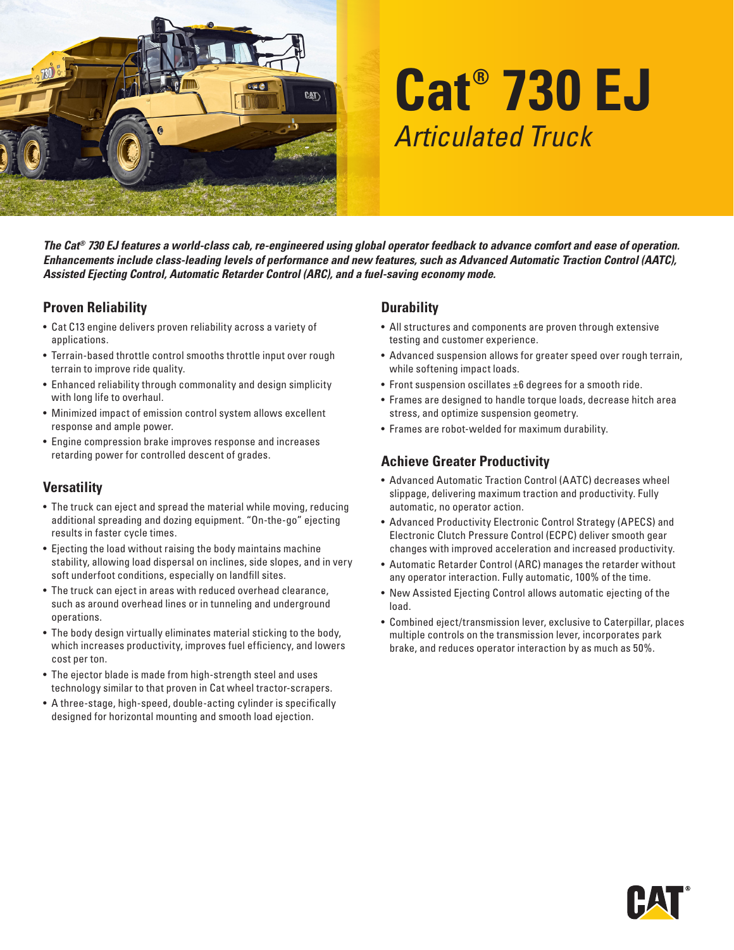

# **Cat® 730 EJ** *Articulated Truck*

*The Cat® 730 EJ features a world-class cab, re-engineered using global operator feedback to advance comfort and ease of operation. Enhancements include class-leading levels of performance and new features, such as Advanced Automatic Traction Control (AATC), Assisted Ejecting Control, Automatic Retarder Control (ARC), and a fuel-saving economy mode.*

#### **Proven Reliability**

- Cat C13 engine delivers proven reliability across a variety of applications.
- Terrain-based throttle control smooths throttle input over rough terrain to improve ride quality.
- Enhanced reliability through commonality and design simplicity with long life to overhaul.
- Minimized impact of emission control system allows excellent response and ample power.
- Engine compression brake improves response and increases retarding power for controlled descent of grades.

#### **Versatility**

- The truck can eject and spread the material while moving, reducing additional spreading and dozing equipment. "On-the-go" ejecting results in faster cycle times.
- Ejecting the load without raising the body maintains machine stability, allowing load dispersal on inclines, side slopes, and in very soft underfoot conditions, especially on landfill sites.
- The truck can eject in areas with reduced overhead clearance, such as around overhead lines or in tunneling and underground operations.
- The body design virtually eliminates material sticking to the body, which increases productivity, improves fuel efficiency, and lowers cost per ton.
- The ejector blade is made from high-strength steel and uses technology similar to that proven in Cat wheel tractor-scrapers.
- A three-stage, high-speed, double-acting cylinder is specifically designed for horizontal mounting and smooth load ejection.

#### **Durability**

- All structures and components are proven through extensive testing and customer experience.
- Advanced suspension allows for greater speed over rough terrain, while softening impact loads.
- Front suspension oscillates ±6 degrees for a smooth ride.
- Frames are designed to handle torque loads, decrease hitch area stress, and optimize suspension geometry.
- Frames are robot-welded for maximum durability.

#### **Achieve Greater Productivity**

- Advanced Automatic Traction Control (AATC) decreases wheel slippage, delivering maximum traction and productivity. Fully automatic, no operator action.
- Advanced Productivity Electronic Control Strategy (APECS) and Electronic Clutch Pressure Control (ECPC) deliver smooth gear changes with improved acceleration and increased productivity.
- Automatic Retarder Control (ARC) manages the retarder without any operator interaction. Fully automatic, 100% of the time.
- New Assisted Ejecting Control allows automatic ejecting of the load.
- Combined eject/transmission lever, exclusive to Caterpillar, places multiple controls on the transmission lever, incorporates park brake, and reduces operator interaction by as much as 50%.

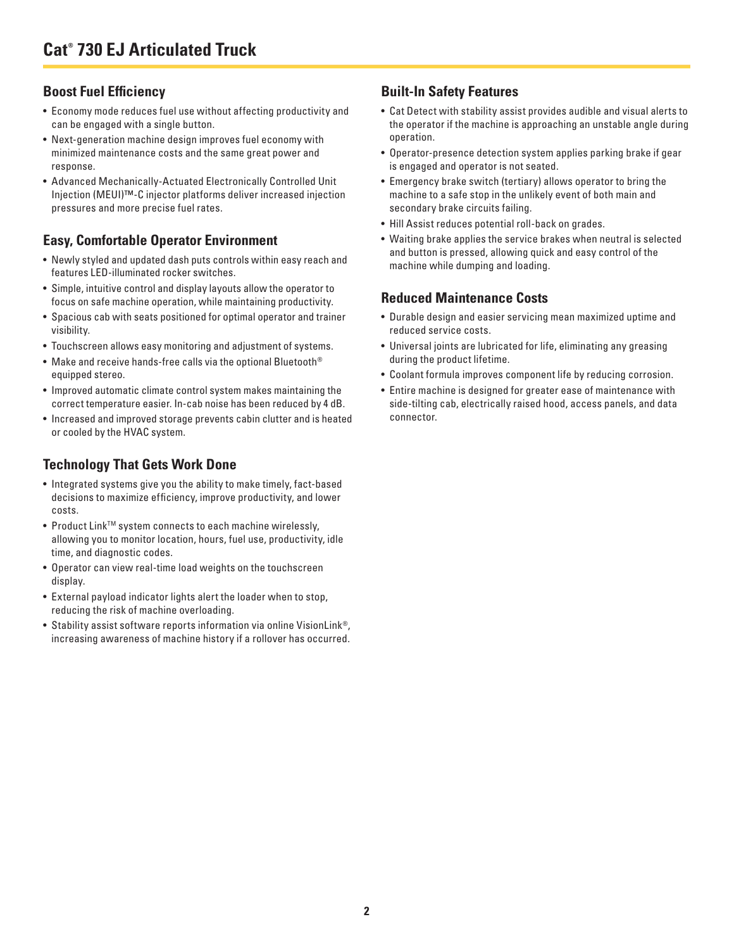### **Boost Fuel Efficiency**

- Economy mode reduces fuel use without affecting productivity and can be engaged with a single button.
- Next-generation machine design improves fuel economy with minimized maintenance costs and the same great power and response.
- Advanced Mechanically-Actuated Electronically Controlled Unit Injection (MEUI)™-C injector platforms deliver increased injection pressures and more precise fuel rates.

#### **Easy, Comfortable Operator Environment**

- Newly styled and updated dash puts controls within easy reach and features LED-illuminated rocker switches.
- Simple, intuitive control and display layouts allow the operator to focus on safe machine operation, while maintaining productivity.
- Spacious cab with seats positioned for optimal operator and trainer visibility.
- Touchscreen allows easy monitoring and adjustment of systems.
- Make and receive hands-free calls via the optional Bluetooth® equipped stereo.
- Improved automatic climate control system makes maintaining the correct temperature easier. In-cab noise has been reduced by 4 dB.
- Increased and improved storage prevents cabin clutter and is heated or cooled by the HVAC system.

## **Technology That Gets Work Done**

- Integrated systems give you the ability to make timely, fact-based decisions to maximize efficiency, improve productivity, and lower costs.
- Product Link<sup>™</sup> system connects to each machine wirelessly, allowing you to monitor location, hours, fuel use, productivity, idle time, and diagnostic codes.
- Operator can view real-time load weights on the touchscreen display.
- External payload indicator lights alert the loader when to stop, reducing the risk of machine overloading.
- Stability assist software reports information via online VisionLink®, increasing awareness of machine history if a rollover has occurred.

### **Built-In Safety Features**

- Cat Detect with stability assist provides audible and visual alerts to the operator if the machine is approaching an unstable angle during operation.
- Operator-presence detection system applies parking brake if gear is engaged and operator is not seated.
- Emergency brake switch (tertiary) allows operator to bring the machine to a safe stop in the unlikely event of both main and secondary brake circuits failing.
- Hill Assist reduces potential roll-back on grades.
- Waiting brake applies the service brakes when neutral is selected and button is pressed, allowing quick and easy control of the machine while dumping and loading.

#### **Reduced Maintenance Costs**

- Durable design and easier servicing mean maximized uptime and reduced service costs.
- Universal joints are lubricated for life, eliminating any greasing during the product lifetime.
- Coolant formula improves component life by reducing corrosion.
- Entire machine is designed for greater ease of maintenance with side-tilting cab, electrically raised hood, access panels, and data connector.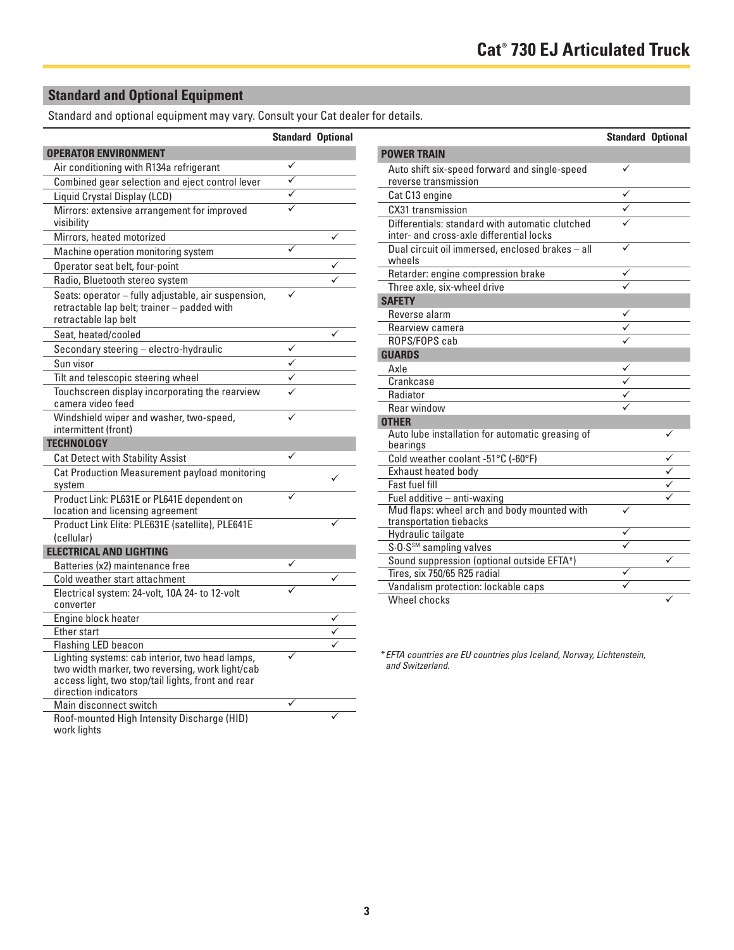## **Standard and Optional Equipment**

Standard and optional equipment may vary. Consult your Cat dealer for details.

|                                                                                                                                                                                  | <b>Standard Optional</b> |              |
|----------------------------------------------------------------------------------------------------------------------------------------------------------------------------------|--------------------------|--------------|
| <b>OPERATOR ENVIRONMENT</b>                                                                                                                                                      |                          |              |
| Air conditioning with R134a refrigerant                                                                                                                                          | ✓                        |              |
| Combined gear selection and eject control lever                                                                                                                                  | ✓                        |              |
| Liquid Crystal Display (LCD)                                                                                                                                                     | ✓                        |              |
| Mirrors: extensive arrangement for improved<br>visibility                                                                                                                        | ✓                        |              |
| Mirrors, heated motorized                                                                                                                                                        |                          | $\checkmark$ |
| Machine operation monitoring system                                                                                                                                              | ✓                        |              |
| Operator seat belt, four-point                                                                                                                                                   |                          |              |
| Radio, Bluetooth stereo system                                                                                                                                                   |                          |              |
| Seats: operator - fully adjustable, air suspension,<br>retractable lap belt; trainer - padded with<br>retractable lap belt                                                       |                          |              |
| Seat, heated/cooled                                                                                                                                                              |                          | ✓            |
| Secondary steering - electro-hydraulic                                                                                                                                           |                          |              |
| Sun visor                                                                                                                                                                        | ✓                        |              |
| Tilt and telescopic steering wheel                                                                                                                                               |                          |              |
| Touchscreen display incorporating the rearview<br>camera video feed                                                                                                              |                          |              |
| Windshield wiper and washer, two-speed,<br>intermittent (front)                                                                                                                  |                          |              |
| <b>TECHNOLOGY</b>                                                                                                                                                                |                          |              |
| <b>Cat Detect with Stability Assist</b>                                                                                                                                          | ✓                        |              |
| Cat Production Measurement payload monitoring<br>system                                                                                                                          |                          |              |
| Product Link: PL631E or PL641E dependent on<br>location and licensing agreement                                                                                                  |                          |              |
| Product Link Elite: PLE631E (satellite), PLE641E                                                                                                                                 |                          |              |
| (cellular)                                                                                                                                                                       |                          |              |
| <b>ELECTRICAL AND LIGHTING</b>                                                                                                                                                   |                          |              |
| Batteries (x2) maintenance free                                                                                                                                                  |                          |              |
| Cold weather start attachment                                                                                                                                                    |                          |              |
| Electrical system: 24-volt, 10A 24- to 12-volt                                                                                                                                   |                          |              |
| converter                                                                                                                                                                        |                          |              |
| Engine block heater                                                                                                                                                              |                          |              |
| Ether start                                                                                                                                                                      |                          |              |
| Flashing LED beacon                                                                                                                                                              |                          |              |
| Lighting systems: cab interior, two head lamps,<br>two width marker, two reversing, work light/cab<br>access light, two stop/tail lights, front and rear<br>direction indicators |                          |              |
| Main disconnect switch                                                                                                                                                           | ✓                        |              |
| Roof-mounted High Intensity Discharge (HID)<br>work lights                                                                                                                       |                          |              |

|                                                                                             | <b>Standard Optional</b> |   |
|---------------------------------------------------------------------------------------------|--------------------------|---|
| <b>POWER TRAIN</b>                                                                          |                          |   |
| Auto shift six-speed forward and single-speed<br>reverse transmission                       | ✓                        |   |
| Cat C13 engine                                                                              | ✓                        |   |
| CX31 transmission                                                                           |                          |   |
| Differentials: standard with automatic clutched<br>inter- and cross-axle differential locks |                          |   |
| Dual circuit oil immersed, enclosed brakes - all<br>wheels                                  |                          |   |
| Retarder: engine compression brake                                                          | $\checkmark$             |   |
| Three axle, six-wheel drive                                                                 |                          |   |
| <b>SAFETY</b>                                                                               |                          |   |
| Reverse alarm                                                                               |                          |   |
| Rearview camera                                                                             |                          |   |
| ROPS/FOPS cab                                                                               |                          |   |
| <b>GUARDS</b>                                                                               |                          |   |
| Axle                                                                                        |                          |   |
| Crankcase                                                                                   | $\overline{\checkmark}$  |   |
| Radiator                                                                                    |                          |   |
| <b>Rear window</b>                                                                          |                          |   |
| <b>OTHER</b>                                                                                |                          |   |
| Auto lube installation for automatic greasing of<br>bearings                                |                          | ✓ |
| Cold weather coolant -51°C (-60°F)                                                          |                          |   |
| Exhaust heated body                                                                         |                          |   |
| <b>Fast fuel fill</b>                                                                       |                          |   |
| Fuel additive - anti-waxing                                                                 |                          |   |
| Mud flaps: wheel arch and body mounted with<br>transportation tiebacks                      | ✓                        |   |
| Hydraulic tailgate                                                                          |                          |   |
| S.O.S <sup>SM</sup> sampling valves                                                         |                          |   |
| Sound suppression (optional outside EFTA*)                                                  |                          | ✓ |
| Tires, six 750/65 R25 radial                                                                |                          |   |
| Vandalism protection: lockable caps                                                         |                          |   |
| Wheel chocks                                                                                |                          |   |

*\* EFTA countries are EU countries plus Iceland, Norway, Lichtenstein, and Switzerland.*